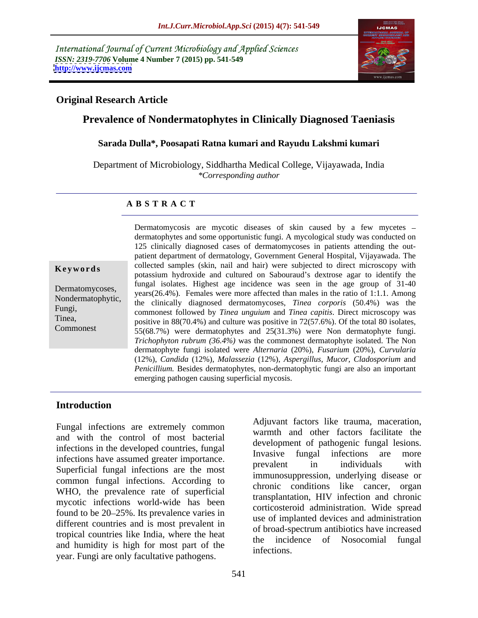International Journal of Current Microbiology and Applied Sciences *ISSN: 2319-7706* **Volume 4 Number 7 (2015) pp. 541-549 <http://www.ijcmas.com>**



### **Original Research Article**

# **Prevalence of Nondermatophytes in Clinically Diagnosed Taeniasis**

### **Sarada Dulla\*, Poosapati Ratna kumari and Rayudu Lakshmi kumari**

Department of Microbiology, Siddhartha Medical College, Vijayawada, India *\*Corresponding author*

### **A B S T R A C T**

Commonest

Dermatomycosis are mycotic diseases of skin caused by a few mycetes dermatophytes and some opportunistic fungi. A mycological study was conducted on 125 clinically diagnosed cases of dermatomycoses in patients attending the out patient department of dermatology, Government General Hospital, Vijayawada. The collected samples (skin, nail and hair) were subjected to direct microscopy with **Keywords** conected samples (skin, hall and hair) were subjected to direct incroscopy with potassium hydroxide and cultured on Sabouraud's dextrose agar to identify the fungal isolates. Highest age incidence was seen in the age group of 31-40 Dermatomycoses,<br>
years(26.4%). Females were more affected than males in the ratio of 1:1.1. Among Nondermatophytic, the clinically diagnosed dermatomycoses, *Tinea corporis* (50.4%) was the Fungi,<br>
commonest followed by *Tinea unguium* and *Tinea capitis*. Direct microscopy was Tinea, positive in 88(70.4%) and culture was positive in 72(57.6%). Of the total 80 isolates, 55(68.7%) were dermatophytes and 25(31.3%) were Non dermatophyte fungi. *Trichophyton rubrum (36.4%)* was the commonest dermatophyte isolated. The Non dermatophyte fungi isolated were *Alternaria* (20%), *Fusarium* (20%), *Curvularia* (12%), *Candida* (12%)*, Malassezia* (12%), *Aspergillus, Mucor, Cladosporium* and *Penicillium.* Besides dermatophytes, non-dermatophytic fungi are also an important emerging pathogen causing superficial mycosis.

### **Introduction**

Fungal infections are extremely common and with the control of most bacterial infections in the developed countries, fungal invasive fungal infections are more infections have assumed greater importance.<br>
The individuals with the state of the state of the state of the state of the state of the state of the state of the state of the state of the state of the state of the state of Superficial fungal infections are the most common fungal infections. According to WHO, the prevalence rate of superficial mycotic infections world-wide has been found to be 20–25%. Its prevalence varies in different countries and is most prevalent in tropical countries like India, where the heat and humidity is high for most part of the the infections. year. Fungi are only facultative pathogens.

Adjuvant factors like trauma, maceration, warmth and other factors facilitate the development of pathogenic fungal lesions. Invasive fungal infections are prevalent in individuals with immunosuppression, underlying disease or chronic conditions like cancer, organ transplantation, HIV infection and chronic corticosteroid administration. Wide spread use of implanted devices and administration of broad-spectrum antibiotics have increased the incidence of Nosocomial fungal infections.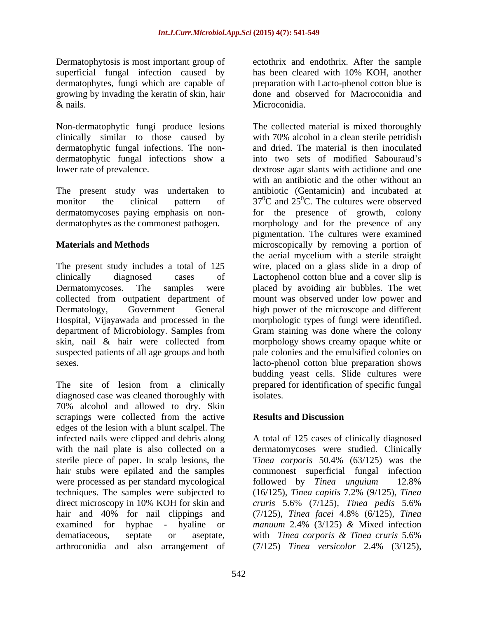superficial fungal infection caused by has been cleared with 10% KOH, another growing by invading the keratin of skin, hair

dermatophytic fungal infections. The nondermatophytic fungal infections show a

The present study was undertaken to

diagnosed case was cleaned thoroughly with isolates. 70% alcohol and allowed to dry. Skin scrapings were collected from the active **Results and Discussion** edges of the lesion with a blunt scalpel. The sterile piece of paper. In scalp lesions, the Tinea corporis 50.4% (63/125) was the were processed as per standard mycological followed by Tinea unguium 12.8% direct microscopy in 10% KOH for skin and cruris 5.6% (7/125), Tinea pedis 5.6% examined for hyphae - hyaline or  $manuum$  2.4% (3/125) & Mixed infection dematiaceous, septate or aseptate, with Tinea corporis & Tinea cruris 5.6% arthroconidia and also arrangement of  $(7/125)$  *Tinea versicolor* 2.4%  $(3/125)$ ,

Dermatophytosis is most important group of ectothrix and endothrix. After the sample dermatophytes, fungi which are capable of preparation with Lacto-phenol cotton blue is & nails. Microconidia. has been cleared with 10% KOH, another done and observed for Macroconidia and Microconidia.

Non-dermatophytic fungi produce lesions The collected material is mixed thoroughly clinically similar to those caused by with 70% alcohol in a clean sterile petridish lower rate of prevalence. dextrose agar slants with actidione and one monitor the clinical pattern of  $37^0C$  and  $25^0C$ . The cultures were observed dermatomycoses paying emphasis on non- for the presence of growth, colony dermatophytes as the commonest pathogen. morphology and for the presence of any **Materials and Methods** microscopically by removing a portion of The present study includes a total of 125 wire, placed on a glass slide in a drop of clinically diagnosed cases of Lactophenol cotton blue and a cover slip is Dermatomycoses. The samples were placed by avoiding air bubbles. The wet collected from outpatient department of mount was observed under low power and Dermatology, Government General high power of the microscope and different Hospital, Vijayawada and processed in the morphologic types of fungi were identified. department of Microbiology. Samples from Gram staining was done where the colony skin, nail & hair were collected from morphology shows creamy opaque white or suspected patients of all age groups and both pale colonies and the emulsified colonies on sexes. lacto-phenol cotton blue preparation shows The site of lesion from a clinically prepared for identification of specific fungal and dried. The material is then inoculated into two sets of modified Sabouraud's with an antibiotic and the other without an antibiotic (Gentamicin) and incubated at pigmentation. The cultures were examined the aerial mycelium with a sterile straight budding yeast cells. Slide cultures were isolates.

### **Results and Discussion**

infected nails were clipped and debris along  $\hbox{A}$  total of 125 cases of clinically diagnosed with the nail plate is also collected on a dermatomycoses were studied. Clinically hair stubs were epilated and the samples commonest superficial fungal infection techniques. The samples were subjected to (16/125), *Tinea capitis* 7.2% (9/125), *Tinea*  hair and 40% for nail clippings and (7/125)*, Tinea facei* 4.8% (6/125)*, Tinea Tinea corporis* 50.4% (63/125) was the followed by *Tinea unguium* 12.8% *cruris* 5.6% (7/125)*, Tinea pedis* 5.6% *manuum* 2.4% (3/125) *&* Mixed infection with *Tinea corporis & Tinea cruris* 5.6% (7/125) *Tinea versicolor* 2.4% (3/125)*,*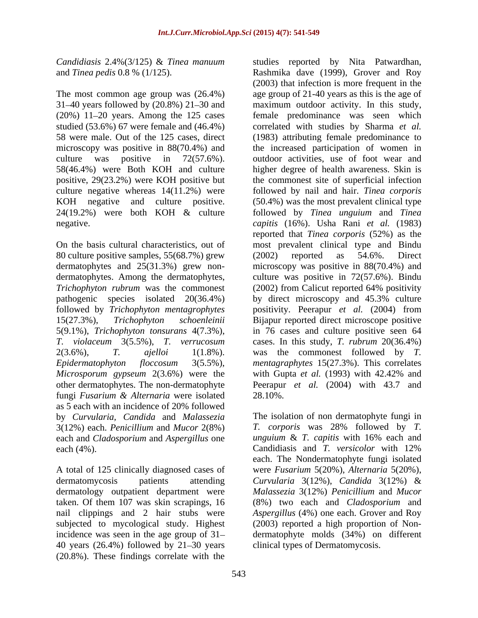*Candidiasis* 2.4%(3/125) & *Tinea manuum* studies reported by Nita Patwardhan,

31–40 years followed by  $(20.8%) 21–30$  and microscopy was positive in  $88(70.4\%)$  and 58(46.4%) were Both KOH and culture

80 culture positive samples, 55(68.7%) grew *Trichophyton rubrum* was the commonest (2002) from Calicut reported 64% positivity *T. violaceum* 3(5.5%), *T. verrucosum Microsporum gypseum* 2(3.6%) were the fungi *Fusarium & Alternaria* were isolated as 5 each with an incidence of 20% followed 3(12%) each. *Penicillium* and *Mucor* 2(8%) each and *Cladosporium* and *Aspergillus* one each (4%). Candidiasis and T. versicolor with 12%

nail clippings and 2 hair stubs were 40 years  $(26.4\%)$  followed by  $21-30$  years (20.8%). These findings correlate with the

and *Tinea pedis* 0.8 % (1/125). Rashmika dave (1999), Grover and Roy The most common age group was (26.4%) age group of 21-40 years as this is the age of (20%) 11 20 years. Among the 125 cases female predominance was seen which studied (53.6%) 67 were female and (46.4%) correlated with studies by Sharma *et al.* 58 were male. Out of the 125 cases, direct (1983) attributing female predominance to culture was positive in 72(57.6%). outdoor activities, use of foot wear and positive, 29(23.2%) were KOH positive but the commonest site of superficial infection culture negative whereas 14(11.2%) were followed by nail and hair. *Tinea corporis* KOH negative and culture positive. (50.4%) was the most prevalent clinical type 24(19.2%) were both KOH & culture followed by *Tinea unguium* and *Tinea*  negative. *capitis* (16%). Usha Rani *et al.* (1983) On the basis cultural characteristics, out of most prevalent clinical type and Bindu dermatophytes and 25(31.3%) grew non- microscopy was positive in 88(70.4%) and dermatophytes. Among the dermatophytes, culture was positive in 72(57.6%). Bindu pathogenic species isolated 20(36.4%) by direct microscopy and 45.3% culture followed by *Trichophyton mentagrophytes* positivity. Peerapur *et al.* (2004) from 15(27.3%), *Trichophyton schoenleinii* Bijapur reported direct microscope positive 5(9.1%), *Trichophyton tonsurans* 4(7.3%), in 76 cases and culture positive seen 64 2(3.6%), *T. ajelloi* 1(1.8%). was the commonest followed by *T. Epidermatophyton floccosum* 3(5.5%), *mentagraphytes* 15(27.3%). This correlates other dermatophytes. The non-dermatophyte Peerapur *et al.* (2004) with 43.7 and (2003) that infection is more frequent in the maximum outdoor activity. In this study, the increased participation of women in higher degree of health awareness. Skin is reported that *Tinea corporis* (52%) as the (2002) reported as 54.6%. Direct (2002) from Calicut reported 64% positivity cases. In this study, *T. rubrum* 20(36.4%) with Gupta *et al.* (1993) with 42.42% and 28.10%.

by *Curvularia, Candida* and *Malassezia* The isolation of non dermatophyte fungi in A total of 125 clinically diagnosed cases of were *Fusarium* 5(20%), *Alternaria* 5(20%), dermatomycosis patients attending *Curvularia* 3(12%), *Candida* 3(12%) & dermatology outpatient department were *Malassezia* 3(12%) *Penicillium* and *Mucor* taken. Of them 107 was skin scrapings, 16 (8%) two each and *Cladosporium* and subjected to mycological study. Highest (2003) reported a high proportion of Non incidence was seen in the age group of 31 dermatophyte molds (34%) on different *T. corporis* was 28% followed by *T. unguium* & *T. capitis* with 16% each and Candidiasis and *T. versicolor* with 12% each. The Nondermatophyte fungi isolated *Aspergillus* (4%) one each. Grover and Roy clinical types of Dermatomycosis.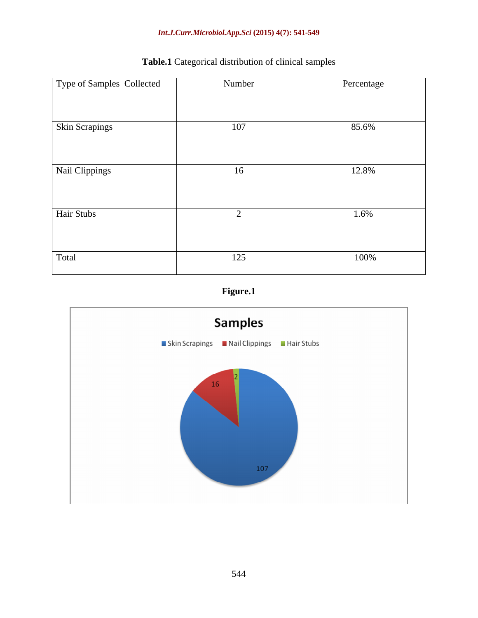### *Int.J.Curr.Microbiol.App.Sci* **(2015) 4(7): 541-549**

| Type of Samples Collected | Number | Percentage |
|---------------------------|--------|------------|
|                           |        |            |
| Skin Scrapings            | 107    | 85.6%      |
| Nail Clippings            | 16     | 12.8%      |
| Hair Stubs                |        | 1.6%       |
| Total                     | 125    | 100%       |

# **Table.1** Categorical distribution of clinical samples



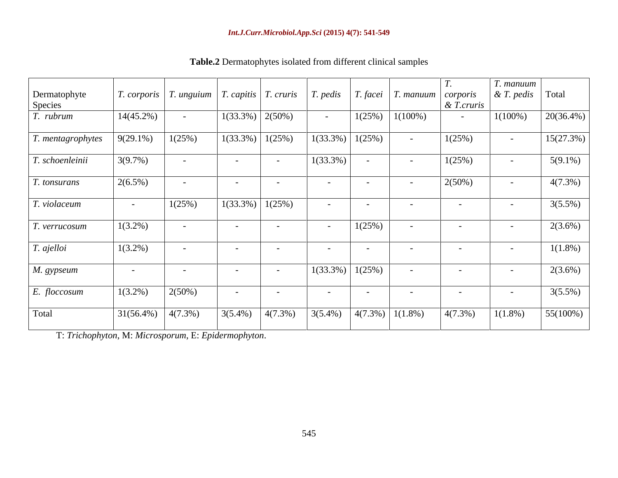|                   |                                                              |            |                               |            |                       |        |                                                  |               | T. manuum            |              |
|-------------------|--------------------------------------------------------------|------------|-------------------------------|------------|-----------------------|--------|--------------------------------------------------|---------------|----------------------|--------------|
| Dermatophyte      | T. corporis   T. unguium   T. capitis   T. cruris   T. pedis |            |                               |            |                       |        | $\mid$ T. facei $\mid$ T. manuum $\mid$ corporis |               | & T. pedis Total     |              |
| Species           |                                                              |            |                               |            |                       |        |                                                  | $\&$ T.cruris |                      |              |
| T. rubrum         | $14(45.2\%)$                                                 | $\sim$     | $\mid$ 1(33.3%) $\mid$ 2(50%) |            | $\sim$ $-$            | 1(25%) | $1(100\%)$                                       |               | $1(100\%)$           | $20(36.4\%)$ |
| T. mentagrophytes | $9(29.1\%)$                                                  | 1(25%)     | $1(33.3\%)$ 1(25%)            |            | $1(33.3\%)$           | 1(25%) | $\sim 100$                                       | 1(25%)        | $\sim 100$           | 15(27.3%)    |
| T. schoenleinii   | 3(9.7%)                                                      |            |                               |            | $1(33.3\%)$           | $\sim$ | $\sim$ $-$                                       | 1(25%)        | $\sim 100$ m $^{-1}$ | $5(9.1\%)$   |
| T. tonsurans      | $2(6.5\%)$                                                   |            |                               |            | $\sim$ $-$            | $\sim$ | $\sim$                                           | $2(50\%)$     | $\sim 100$           | $4(7.3\%)$   |
| T. violaceum      |                                                              | 1(25%)     | $1(33.3\%)$ 1(25%)            |            | $\sim$ $ \sim$        | $\sim$ | $\sim$ $ \sim$                                   | $\sim$        | $\sim$ $ \sim$       | $3(5.5\%)$   |
| T. verrucosum     | $1(3.2\%)$                                                   |            |                               |            | $\sim$ 100 $\sim$     | 1(25%) | $\sim$ $-$                                       | $\sim$        | $\sim$ $-$           | $2(3.6\%)$   |
| T. ajelloi        | $1(3.2\%)$                                                   | $\sim$ $-$ |                               |            | $\sim$ $-$            | $\sim$ | $\sim$ $ \sim$                                   | $\sim$        | $\sim$ 100 $\pm$     | $1(1.8\%)$   |
| M. gypseum        | $\sim$ $-$                                                   | $\sim$ $-$ | $\sim$                        |            | $1(33.3\%)$ $1(25\%)$ |        | $\sim$ $ \sim$                                   | $\sim$ $-$    | $\sim$ $-$           | $2(3.6\%)$   |
| E. floccosum      | $1(3.2\%)$                                                   | 2(50%)     | $\sim$ $-$                    |            | $\sim$ $-$            | $\sim$ | $\sim$ $-$                                       | $\sim$        | $\sim$ $-$           | $3(5.5\%)$   |
| Total             | $31(56.4\%)$ $4(7.3\%)$                                      |            | $3(5.4\%)$                    | $4(7.3\%)$ | $3(5.4\%)$            |        | $\left  \frac{4(7.3\%)}{1(1.8\%)} \right $       | $4(7.3\%)$    | $1(1.8\%)$           | 55(100%)     |

**Table.2** Dermatophytes isolated from different clinical samples

T: *Trichophyton*, M: *Microsporum*, E: *Epidermophyton*.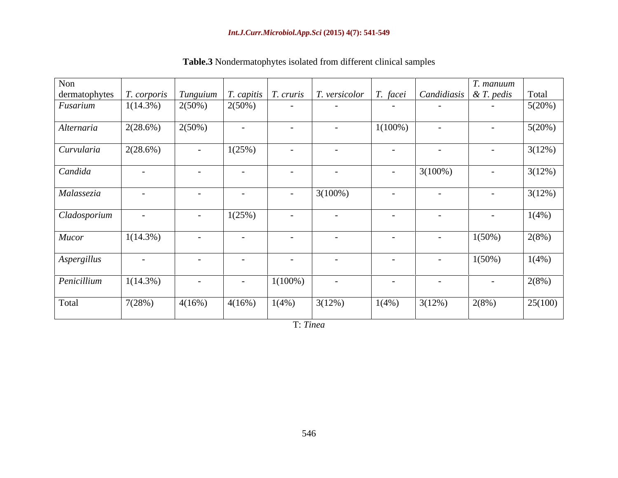| Non           |                    |                                                    |                          |                          |                              |            |                                        | T. manuum     |         |
|---------------|--------------------|----------------------------------------------------|--------------------------|--------------------------|------------------------------|------------|----------------------------------------|---------------|---------|
| dermatophytes | <i>T. corporis</i> | $\mid$ Tunguium $\mid$ T. capitis $\mid$ T. cruris |                          |                          | $T. versionor \mid T. facei$ |            | $\vert$ Candidiasis $\vert$ & T. pedis |               | Total   |
| Fusarium      | $1(14.3\%)$        | $2(50\%)$                                          | $2(50\%)$                | $\sim$                   | $\sim$ $\sim$                | $\sim$ $-$ | $\sim$ $-$                             | $\sim$        | 5(20%)  |
| Alternaria    | 2(28.6%)           | 2(50%)                                             | $\sim$                   | $\sim$ $-$               | $\sim$ $-$                   | $1(100\%)$ | $\sim$                                 | $\sim$ $-$    | 5(20%)  |
| Curvularia    | 2(28.6%)           | $\sim 10^{-11}$                                    | 1(25%)                   | $\sim$                   | $\sim$                       | $\sim$     | $\sim$                                 | $\sim$        | 3(12%)  |
| Candida       | $\sim$ $-$         | $\sim$ $-$                                         | $\overline{\phantom{0}}$ | $\overline{\phantom{0}}$ | $\sim$                       | $\sim$ $-$ | $3(100\%)$                             | $\sim$ $-$    | 3(12%)  |
| Malassezia    | $\sim$ $ \sim$     | $\sim$ $-$                                         | $\overline{\phantom{0}}$ | $\sim$ $-$               | $3(100\%)$                   | $\sim$ $-$ | $\sim$                                 | $\sim$        | 3(12%)  |
| Cladosporium  | $\sim$ $-$         | $\sim$ $ \sim$                                     | 1(25%)                   | $\sim$                   | $\sim$ $-$                   | $\sim$     | $\sim$                                 | $\sim$        | 1(4%)   |
| <b>Mucor</b>  | $1(14.3\%)$        | $\sim$ $\sim$                                      | $\overline{\phantom{0}}$ | $\sim$                   | $\sim$                       | $\sim$ $-$ | $\sim$                                 | $1(50\%)$     | 2(8%)   |
| Aspergillus   | $\sim$ $-$         | $\sim$                                             | $\overline{\phantom{0}}$ | $\sim$                   | $\overline{\phantom{0}}$     | $\sim$ $-$ | $\sim$                                 | $1(50\%)$     | 1(4%)   |
| Penicillium   | $1(14.3\%)$        | $\sim$ $ \sim$                                     | $\sim$ $-$               | $1(100\%)$               | $\sim$ $\sim$                | $\sim$ $-$ | $\sim$                                 | $\sim$ $\sim$ | 2(8%)   |
|               |                    |                                                    | 4(16%)                   |                          | 3(12%)                       | 1(4%)      | 3(12%)                                 | 2(8%)         | 25(100) |

**Table.3** Nondermatophytes isolated from different clinical samples

T: *Tinea*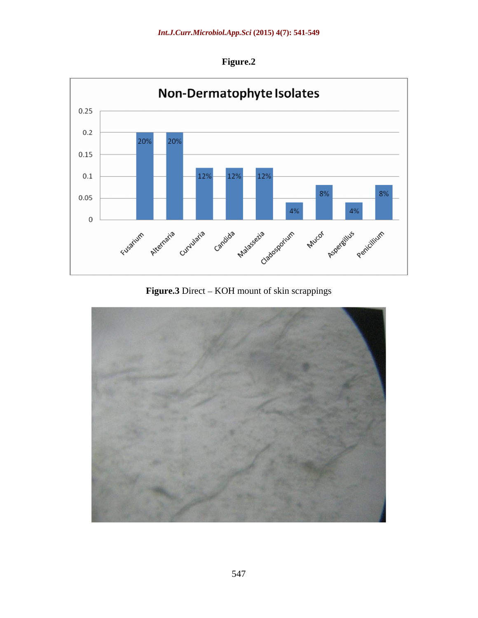**Figure.2**



**Figure.3** Direct – KOH mount of skin scrappings

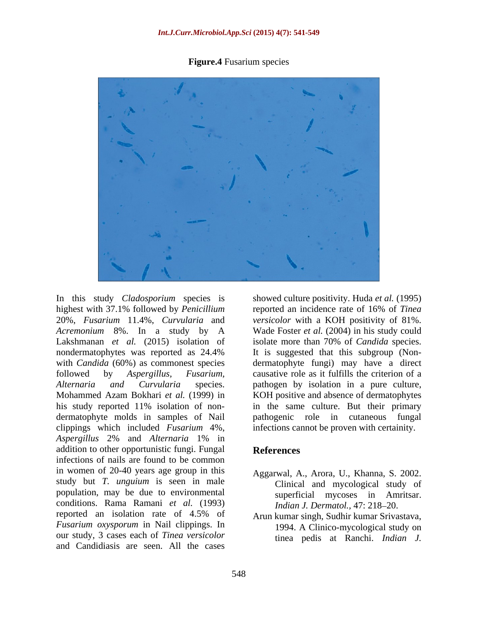**Figure.4** Fusarium species



20%, *Fusarium* 11.4%, *Curvularia* and *Acremonium* 8%. In a study by A his study reported 11% isolation of non dermatophyte molds in samples of Nail pathogenic role in cutaneous fungal clippings which included *Fusarium* 4%, infections cannot be proven with certainity. *Aspergillus* 2% and *Alternaria* 1% in addition to other opportunistic fungi. Fungal References infections of nails are found to be common in women of 20-40 years age group in this study but *T. unguium* is seen in male population, may be due to environmental conditions. Rama Ramani *et al.* (1993) reported an isolation rate of 4.5% of Arunkumar singh Sudhir kumar Srivastava. *Fusarium oxysporum* in Nail clippings. In our study, 3 cases each of *Tinea versicolor* and Candidiasis are seen. All the cases

In this study *Cladosporium* species is showed culture positivity. Huda *et al.* (1995) highest with 37.1% followed by *Penicillium*  reported an incidence rate of 16% of *Tinea*  Lakshmanan *et al.* (2015) isolation of isolate more than 70% of *Candida* species. nondermatophytes was reported as 24.4% with *Candida* (60%) as commonest species dermatophyte fungi) may have a direct followed by *Aspergillus, Fusarium,* causative role as it fulfills the criterion of a *Alternaria and Curvularia* species. pathogen by isolation in a pure culture, Mohammed Azam Bokhari *et al.* (1999) in KOH positive and absence of dermatophytes *versicolor* with a KOH positivity of 81%. Wade Foster *et al.* (2004) in his study could It is suggested that this subgroup (Non in the same culture. But their primary pathogenic role in cutaneous fungal

# **References**

- Aggarwal, A., Arora, U., Khanna, S. 2002. Clinical and mycological study of superficial mycoses in Amritsar. *Indian J. Dermatol., 47: 218-20.*
- Arun kumar singh, Sudhir kumar Srivastava, 1994. A Clinico-mycological study on tinea pedis at Ranchi. *Indian J.*